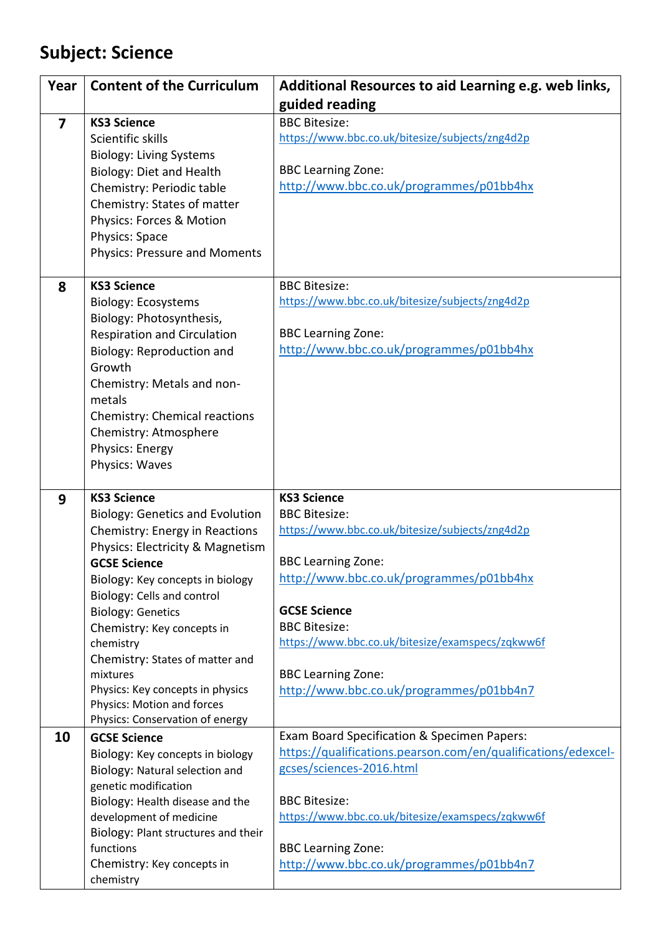## **Subject: Science**

| Year                    | <b>Content of the Curriculum</b>                                                                                                                                                                                                                                                                                                                                                                                                                              | Additional Resources to aid Learning e.g. web links,<br>guided reading                                                                                                                                                                                                                                                                             |
|-------------------------|---------------------------------------------------------------------------------------------------------------------------------------------------------------------------------------------------------------------------------------------------------------------------------------------------------------------------------------------------------------------------------------------------------------------------------------------------------------|----------------------------------------------------------------------------------------------------------------------------------------------------------------------------------------------------------------------------------------------------------------------------------------------------------------------------------------------------|
| $\overline{\mathbf{z}}$ | <b>KS3 Science</b><br>Scientific skills<br><b>Biology: Living Systems</b><br>Biology: Diet and Health<br>Chemistry: Periodic table<br>Chemistry: States of matter<br>Physics: Forces & Motion<br>Physics: Space<br><b>Physics: Pressure and Moments</b>                                                                                                                                                                                                       | <b>BBC Bitesize:</b><br>https://www.bbc.co.uk/bitesize/subjects/zng4d2p<br><b>BBC Learning Zone:</b><br>http://www.bbc.co.uk/programmes/p01bb4hx                                                                                                                                                                                                   |
| 8                       | <b>KS3 Science</b><br><b>Biology: Ecosystems</b><br>Biology: Photosynthesis,<br><b>Respiration and Circulation</b><br>Biology: Reproduction and<br>Growth<br>Chemistry: Metals and non-<br>metals<br>Chemistry: Chemical reactions<br>Chemistry: Atmosphere<br>Physics: Energy<br>Physics: Waves                                                                                                                                                              | <b>BBC Bitesize:</b><br>https://www.bbc.co.uk/bitesize/subjects/zng4d2p<br><b>BBC Learning Zone:</b><br>http://www.bbc.co.uk/programmes/p01bb4hx                                                                                                                                                                                                   |
| 9                       | <b>KS3 Science</b><br><b>Biology: Genetics and Evolution</b><br>Chemistry: Energy in Reactions<br>Physics: Electricity & Magnetism<br><b>GCSE Science</b><br>Biology: Key concepts in biology<br>Biology: Cells and control<br><b>Biology: Genetics</b><br>Chemistry: Key concepts in<br>chemistry<br>Chemistry: States of matter and<br>mixtures<br>Physics: Key concepts in physics<br><b>Physics: Motion and forces</b><br>Physics: Conservation of energy | <b>KS3 Science</b><br><b>BBC Bitesize:</b><br>https://www.bbc.co.uk/bitesize/subjects/zng4d2p<br><b>BBC Learning Zone:</b><br>http://www.bbc.co.uk/programmes/p01bb4hx<br><b>GCSE Science</b><br><b>BBC Bitesize:</b><br>https://www.bbc.co.uk/bitesize/examspecs/zqkww6f<br><b>BBC Learning Zone:</b><br>http://www.bbc.co.uk/programmes/p01bb4n7 |
| 10                      | <b>GCSE Science</b><br>Biology: Key concepts in biology<br>Biology: Natural selection and<br>genetic modification<br>Biology: Health disease and the<br>development of medicine<br>Biology: Plant structures and their<br>functions<br>Chemistry: Key concepts in<br>chemistry                                                                                                                                                                                | Exam Board Specification & Specimen Papers:<br>https://qualifications.pearson.com/en/qualifications/edexcel-<br>gcses/sciences-2016.html<br><b>BBC Bitesize:</b><br>https://www.bbc.co.uk/bitesize/examspecs/zqkww6f<br><b>BBC Learning Zone:</b><br>http://www.bbc.co.uk/programmes/p01bb4n7                                                      |